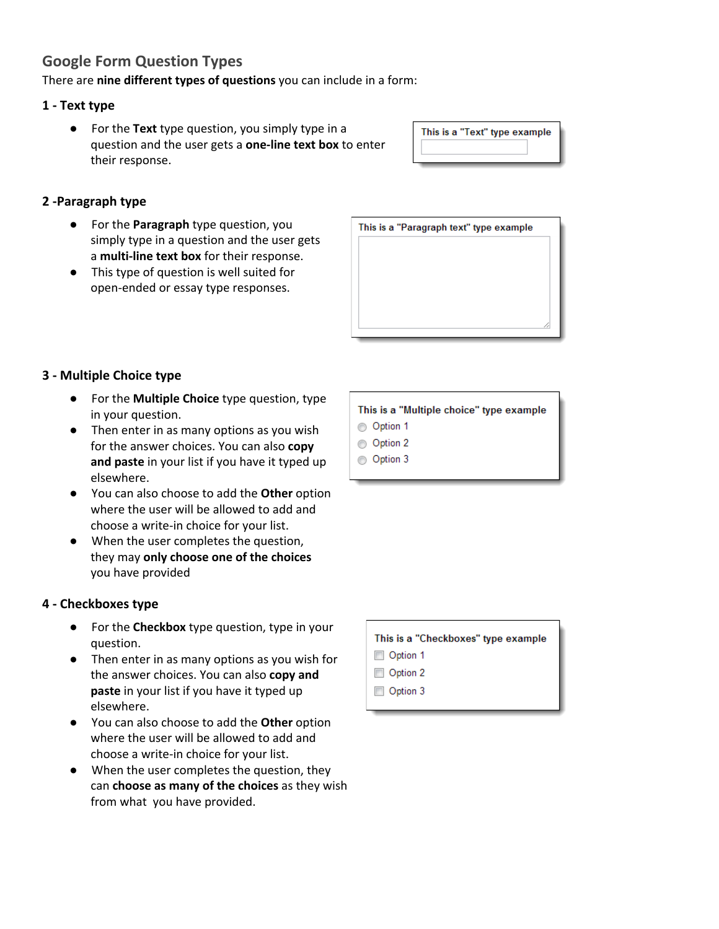# **Google Form Question Types**

There are **nine different types of questions** you can include in a form:

### **1 - Text type**

● For the **Text** type question, you simply type in a question and the user gets a **one-line text box** to enter their response.

| This is a "Text" type example |  |
|-------------------------------|--|
|                               |  |

# **2 -Paragraph type**

- For the **Paragraph** type question, you simply type in a question and the user gets a **multi-line text box** for their response.
- This type of question is well suited for open-ended or essay type responses.



# **3 - Multiple Choice type**

- For the **Multiple Choice** type question, type in your question.
- Then enter in as many options as you wish for the answer choices. You can also **copy and paste** in your list if you have it typed up elsewhere.
- You can also choose to add the **Other** option where the user will be allowed to add and choose a write-in choice for your list.
- When the user completes the question, they may **only choose one of the choices** you have provided

# **4 - Checkboxes type**

- For the **Checkbox** type question, type in your question.
- Then enter in as many options as you wish for the answer choices. You can also **copy and paste** in your list if you have it typed up elsewhere.
- You can also choose to add the **Other** option where the user will be allowed to add and choose a write-in choice for your list.
- When the user completes the question, they can **choose as many of the choices** as they wish from what you have provided.

This is a "Multiple choice" type example

- Option 1
- Option 2
- Option 3

| This is a "Checkboxes" type example |
|-------------------------------------|
|                                     |
|                                     |
|                                     |
|                                     |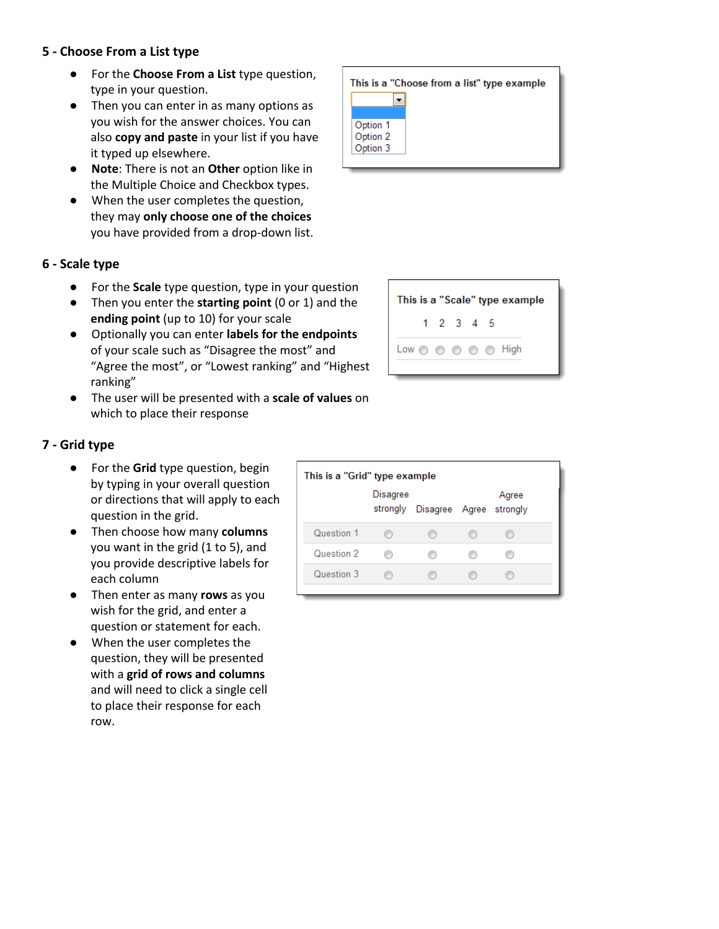#### **5 - Choose From a List type**

- For the **Choose From a List** type question, type in your question.
- Then you can enter in as many options as you wish for the answer choices. You can also **copy and paste** in your list if you have it typed up elsewhere.
- **Note**: There is not an **Other** option like in the Multiple Choice and Checkbox types.
- When the user completes the question, they may **only choose one of the choices** you have provided from a drop-down list.

### **6 - Scale type**

- For the **Scale** type question, type in your question
- Then you enter the **starting point** (0 or 1) and the **ending point** (up to 10) for your scale
- Optionally you can enter **labels for the endpoints** of your scale such as "Disagree the most" and "Agree the most", or "Lowest ranking" and "Highest ranking"
- The user will be presented with a **scale of values** on which to place their response

|                                  | This is a "Choose from a list" type example |
|----------------------------------|---------------------------------------------|
|                                  |                                             |
| Option 1<br>Option 2<br>Option 3 |                                             |



# **7 - Grid type**

- For the **Grid** type question, begin by typing in your overall question or directions that will apply to each question in the grid.
- Then choose how many **columns** you want in the grid (1 to 5), and you provide descriptive labels for each column
- Then enter as many **rows** as you wish for the grid, and enter a question or statement for each.
- When the user completes the question, they will be presented with a **grid of rows and columns** and will need to click a single cell to place their response for each row.

| This is a "Grid" type example |          |                                  |       |  |
|-------------------------------|----------|----------------------------------|-------|--|
|                               | Disagree | strongly Disagree Agree strongly | Agree |  |
| Question 1                    |          |                                  |       |  |
| Question 2                    |          |                                  |       |  |
| Question 3                    |          |                                  |       |  |
|                               |          |                                  |       |  |